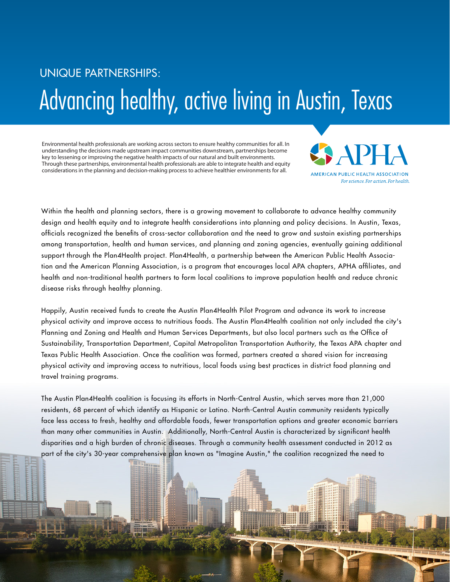## UNIQUE PARTNERSHIPS: Advancing healthy, active living in Austin, Texas

Environmental health professionals are working across sectors to ensure healthy communities for all. In understanding the decisions made upstream impact communities downstream, partnerships become key to lessening or improving the negative health impacts of our natural and built environments. Through these partnerships, environmental health professionals are able to integrate health and equity considerations in the planning and decision-making process to achieve healthier environments for all.



Within the health and planning sectors, there is a growing movement to collaborate to advance healthy community design and health equity and to integrate health considerations into planning and policy decisions. In Austin, Texas, officials recognized the benefits of cross-sector collaboration and the need to grow and sustain existing partnerships among transportation, health and human services, and planning and zoning agencies, eventually gaining additional support through the Plan4Health project. Plan4Health, a partnership between the American Public Health Association and the American Planning Association, is a program that encourages local APA chapters, APHA affiliates, and health and non-traditional health partners to form local coalitions to improve population health and reduce chronic disease risks through healthy planning.

Happily, Austin received funds to create the Austin Plan4Health Pilot Program and advance its work to increase physical activity and improve access to nutritious foods. The Austin Plan4Health coalition not only included the city's Planning and Zoning and Health and Human Services Departments, but also local partners such as the Office of Sustainability, Transportation Department, Capital Metropolitan Transportation Authority, the Texas APA chapter and Texas Public Health Association. Once the coalition was formed, partners created a shared vision for increasing physical activity and improving access to nutritious, local foods using best practices in district food planning and travel training programs.

The Austin Plan4Health coalition is focusing its efforts in North-Central Austin, which serves more than 21,000 residents, 68 percent of which identify as Hispanic or Latino. North-Central Austin community residents typically face less access to fresh, healthy and affordable foods, fewer transportation options and greater economic barriers than many other communities in Austin. Additionally, North-Central Austin is characterized by significant health disparities and a high burden of chronic diseases. Through a community health assessment conducted in 2012 as part of the city's 30-year comprehensive plan known as "Imagine Austin," the coalition recognized the need to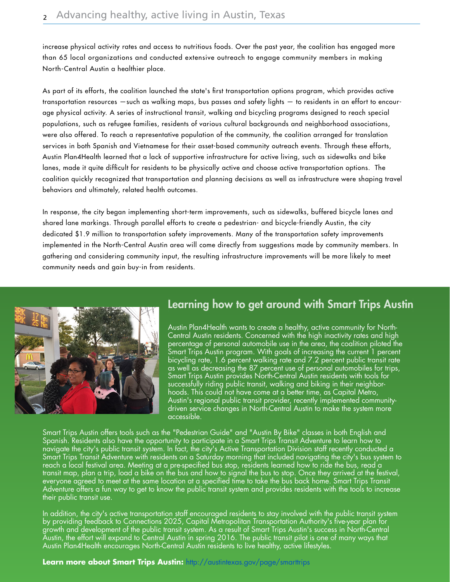increase physical activity rates and access to nutritious foods. Over the past year, the coalition has engaged more than 65 local organizations and conducted extensive outreach to engage community members in making North-Central Austin a healthier place.

As part of its efforts, the coalition launched the state's first transportation options program, which provides active transportation resources —such as walking maps, bus passes and safety lights — to residents in an effort to encourage physical activity. A series of instructional transit, walking and bicycling programs designed to reach special populations, such as refugee families, residents of various cultural backgrounds and neighborhood associations, were also offered. To reach a representative population of the community, the coalition arranged for translation services in both Spanish and Vietnamese for their asset-based community outreach events. Through these efforts, Austin Plan4Health learned that a lack of supportive infrastructure for active living, such as sidewalks and bike lanes, made it quite difficult for residents to be physically active and choose active transportation options. The coalition quickly recognized that transportation and planning decisions as well as infrastructure were shaping travel behaviors and ultimately, related health outcomes.

In response, the city began implementing short-term improvements, such as sidewalks, buffered bicycle lanes and shared lane markings. Through parallel efforts to create a pedestrian- and bicycle-friendly Austin, the city dedicated \$1.9 million to transportation safety improvements. Many of the transportation safety improvements implemented in the North-Central Austin area will come directly from suggestions made by community members. In gathering and considering community input, the resulting infrastructure improvements will be more likely to meet community needs and gain buy-in from residents.



## **Learning how to get around with Smart Trips Austin**

Austin Plan4Health wants to create a healthy, active community for North-Central Austin residents. Concerned with the high inactivity rates and high percentage of personal automobile use in the area, the coalition piloted the Smart Trips Austin program. With goals of increasing the current<sup>'</sup>1 percent bicycling rate, 1.6 percent walking rate and 7.2 percent public transit rate as well as decreasing the 87 percent use of personal automobiles for trips, Smart Trips Austin provides North-Central Austin residents with tools for successfully riding public transit, walking and biking in their neighborhoods. This could not have come at a better time, as Capital Metro, Austin's regional public transit provider, recently implemented communitydriven service changes in North-Central Austin to make the system more accessible.

Smart Trips Austin offers tools such as the "Pedestrian Guide" and "Austin By Bike" classes in both English and Spanish. Residents also have the opportunity to participate in a Smart Trips Transit Adventure to learn how to navigate the city's public transit system. In fact, the city's Active Transportation Division staff recently conducted a Smart Trips Transit Adventure with residents on a Saturday morning that included navigating the city's bus system to reach a local festival area. Meeting at a pre-specified bus stop, residents learned how to ride the bus, read a transit map, plan a trip, load a bike on the bus and how to signal the bus to stop. Once they arrived at the festival, everyone agreed to meet at the same location at a specified time to take the bus back home. Smart Trips Transit Adventure offers a fun way to get to know the public transit system and provides residents with the tools to increase their public transit use.

In addition, the city's active transportation staff encouraged residents to stay involved with the public transit system by providing feedback to Connections 2025, Capital Metropolitan Transportation Authority's five-year plan for growth and development of the public transit system. As a result of Smart Trips Austin's success in North-Central Austin, the effort will expand to Central Austin in spring 2016. The public transit pilot is one of many ways that Austin Plan4Health encourages North-Central Austin residents to live healthy, active lifestyles.

Learn more about Smart Trips Austin: http://austintexas.gov/page/smarttrips